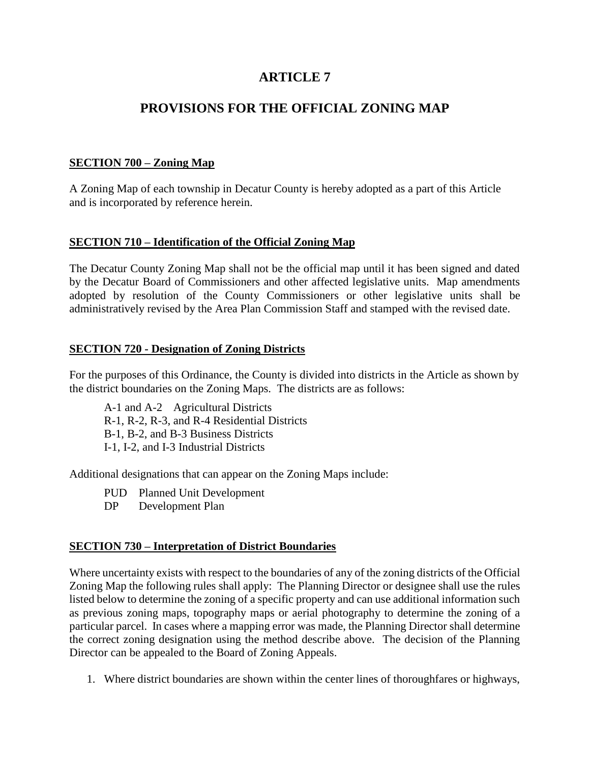## **ARTICLE 7**

# **PROVISIONS FOR THE OFFICIAL ZONING MAP**

### **SECTION 700 – Zoning Map**

A Zoning Map of each township in Decatur County is hereby adopted as a part of this Article and is incorporated by reference herein.

#### **SECTION 710 – Identification of the Official Zoning Map**

The Decatur County Zoning Map shall not be the official map until it has been signed and dated by the Decatur Board of Commissioners and other affected legislative units. Map amendments adopted by resolution of the County Commissioners or other legislative units shall be administratively revised by the Area Plan Commission Staff and stamped with the revised date.

#### **SECTION 720 - Designation of Zoning Districts**

For the purposes of this Ordinance, the County is divided into districts in the Article as shown by the district boundaries on the Zoning Maps. The districts are as follows:

A-1 and A-2 Agricultural Districts R-1, R-2, R-3, and R-4 Residential Districts B-1, B-2, and B-3 Business Districts I-1, I-2, and I-3 Industrial Districts

Additional designations that can appear on the Zoning Maps include:

- PUD Planned Unit Development
- DP Development Plan

#### **SECTION 730 – Interpretation of District Boundaries**

Where uncertainty exists with respect to the boundaries of any of the zoning districts of the Official Zoning Map the following rules shall apply: The Planning Director or designee shall use the rules listed below to determine the zoning of a specific property and can use additional information such as previous zoning maps, topography maps or aerial photography to determine the zoning of a particular parcel. In cases where a mapping error was made, the Planning Director shall determine the correct zoning designation using the method describe above. The decision of the Planning Director can be appealed to the Board of Zoning Appeals.

1. Where district boundaries are shown within the center lines of thoroughfares or highways,